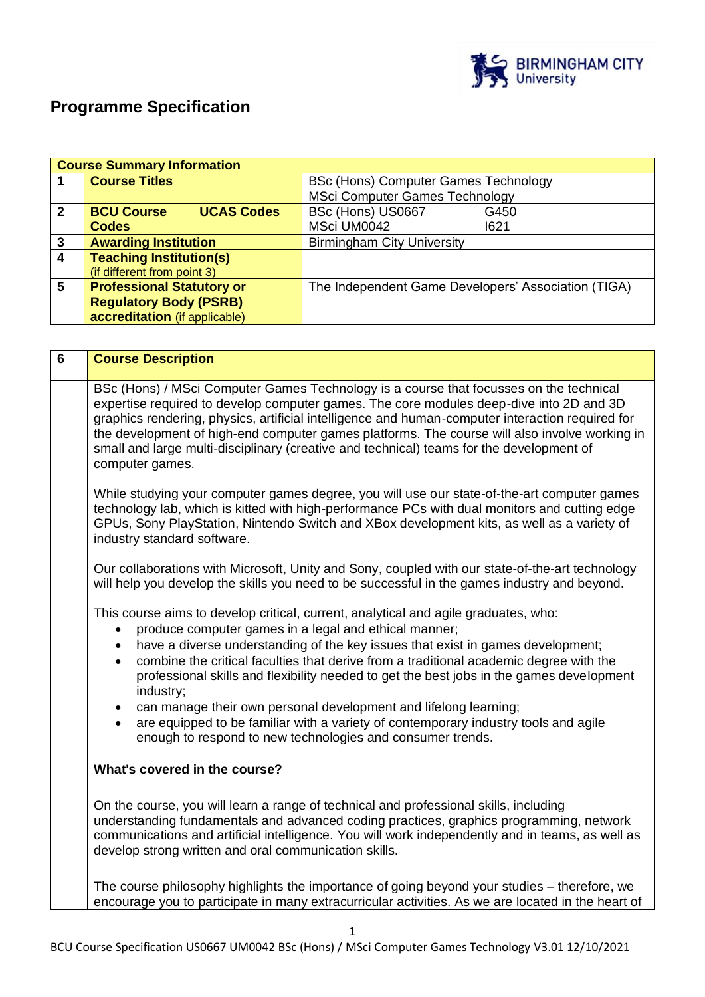

# **Programme Specification**

|                | <b>Course Summary Information</b> |                   |                                                     |      |  |
|----------------|-----------------------------------|-------------------|-----------------------------------------------------|------|--|
|                | <b>Course Titles</b>              |                   | <b>BSc (Hons) Computer Games Technology</b>         |      |  |
|                |                                   |                   | <b>MSci Computer Games Technology</b>               |      |  |
| $\overline{2}$ | <b>BCU Course</b>                 | <b>UCAS Codes</b> | BSc (Hons) US0667                                   | G450 |  |
|                | <b>Codes</b>                      |                   | MSci UM0042                                         | 1621 |  |
| $\mathbf{3}$   | <b>Awarding Institution</b>       |                   | <b>Birmingham City University</b>                   |      |  |
| $\overline{4}$ | <b>Teaching Institution(s)</b>    |                   |                                                     |      |  |
|                | (if different from point 3)       |                   |                                                     |      |  |
| 5              | <b>Professional Statutory or</b>  |                   | The Independent Game Developers' Association (TIGA) |      |  |
|                | <b>Regulatory Body (PSRB)</b>     |                   |                                                     |      |  |
|                | accreditation (if applicable)     |                   |                                                     |      |  |

| $6\phantom{a}$                                                                                                                                                                      | <b>Course Description</b>                                                                                                                                                                                                                                                                                                                                                                                                                                                                             |  |  |
|-------------------------------------------------------------------------------------------------------------------------------------------------------------------------------------|-------------------------------------------------------------------------------------------------------------------------------------------------------------------------------------------------------------------------------------------------------------------------------------------------------------------------------------------------------------------------------------------------------------------------------------------------------------------------------------------------------|--|--|
|                                                                                                                                                                                     | BSc (Hons) / MSci Computer Games Technology is a course that focusses on the technical<br>expertise required to develop computer games. The core modules deep-dive into 2D and 3D<br>graphics rendering, physics, artificial intelligence and human-computer interaction required for<br>the development of high-end computer games platforms. The course will also involve working in<br>small and large multi-disciplinary (creative and technical) teams for the development of<br>computer games. |  |  |
|                                                                                                                                                                                     | While studying your computer games degree, you will use our state-of-the-art computer games<br>technology lab, which is kitted with high-performance PCs with dual monitors and cutting edge<br>GPUs, Sony PlayStation, Nintendo Switch and XBox development kits, as well as a variety of<br>industry standard software.                                                                                                                                                                             |  |  |
|                                                                                                                                                                                     | Our collaborations with Microsoft, Unity and Sony, coupled with our state-of-the-art technology<br>will help you develop the skills you need to be successful in the games industry and beyond.                                                                                                                                                                                                                                                                                                       |  |  |
| This course aims to develop critical, current, analytical and agile graduates, who:<br>produce computer games in a legal and ethical manner;<br>$\bullet$<br>$\bullet$<br>industry; | have a diverse understanding of the key issues that exist in games development;<br>combine the critical faculties that derive from a traditional academic degree with the<br>professional skills and flexibility needed to get the best jobs in the games development<br>can manage their own personal development and lifelong learning;<br>$\bullet$                                                                                                                                                |  |  |
|                                                                                                                                                                                     | are equipped to be familiar with a variety of contemporary industry tools and agile<br>enough to respond to new technologies and consumer trends.                                                                                                                                                                                                                                                                                                                                                     |  |  |
|                                                                                                                                                                                     | What's covered in the course?                                                                                                                                                                                                                                                                                                                                                                                                                                                                         |  |  |
|                                                                                                                                                                                     | On the course, you will learn a range of technical and professional skills, including<br>understanding fundamentals and advanced coding practices, graphics programming, network<br>communications and artificial intelligence. You will work independently and in teams, as well as<br>develop strong written and oral communication skills.                                                                                                                                                         |  |  |
|                                                                                                                                                                                     | The course philosophy highlights the importance of going beyond your studies – therefore, we<br>encourage you to participate in many extracurricular activities. As we are located in the heart of                                                                                                                                                                                                                                                                                                    |  |  |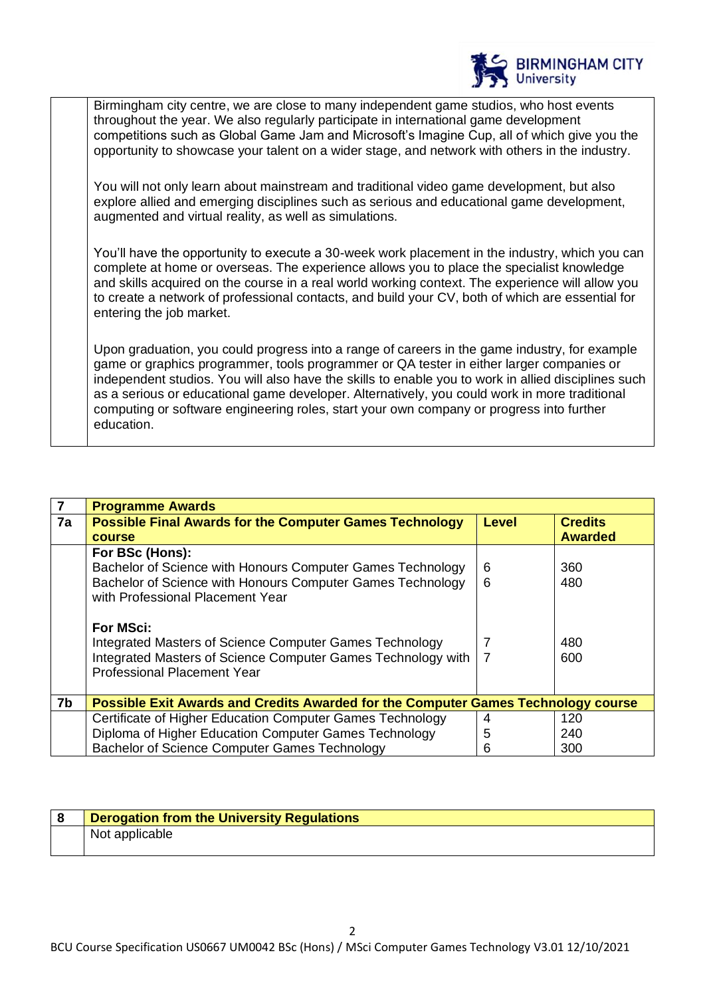

Birmingham city centre, we are close to many independent game studios, who host events throughout the year. We also regularly participate in international game development competitions such as Global Game Jam and Microsoft's Imagine Cup, all of which give you the opportunity to showcase your talent on a wider stage, and network with others in the industry.

You will not only learn about mainstream and traditional video game development, but also explore allied and emerging disciplines such as serious and educational game development, augmented and virtual reality, as well as simulations.

You'll have the opportunity to execute a 30-week work placement in the industry, which you can complete at home or overseas. The experience allows you to place the specialist knowledge and skills acquired on the course in a real world working context. The experience will allow you to create a network of professional contacts, and build your CV, both of which are essential for entering the job market.

Upon graduation, you could progress into a range of careers in the game industry, for example game or graphics programmer, tools programmer or QA tester in either larger companies or independent studios. You will also have the skills to enable you to work in allied disciplines such as a serious or educational game developer. Alternatively, you could work in more traditional computing or software engineering roles, start your own company or progress into further education.

| 7  | <b>Programme Awards</b>                                                                            |       |                |  |
|----|----------------------------------------------------------------------------------------------------|-------|----------------|--|
| 7a | <b>Possible Final Awards for the Computer Games Technology</b>                                     | Level | <b>Credits</b> |  |
|    | <b>course</b>                                                                                      |       | <b>Awarded</b> |  |
|    | For BSc (Hons):                                                                                    |       |                |  |
|    | Bachelor of Science with Honours Computer Games Technology                                         | 6     | 360            |  |
|    | Bachelor of Science with Honours Computer Games Technology<br>with Professional Placement Year     | 6     | 480            |  |
|    | <b>For MSci:</b><br>Integrated Masters of Science Computer Games Technology                        | 7     | 480            |  |
|    | Integrated Masters of Science Computer Games Technology with<br><b>Professional Placement Year</b> | -7    | 600            |  |
| 7b | Possible Exit Awards and Credits Awarded for the Computer Games Technology course                  |       |                |  |
|    | Certificate of Higher Education Computer Games Technology                                          | 4     | 120            |  |
|    | Diploma of Higher Education Computer Games Technology                                              | 5     | 240            |  |
|    | Bachelor of Science Computer Games Technology                                                      | 6     | 300            |  |

| Derogation from the University Regulations |
|--------------------------------------------|
| Not applicable                             |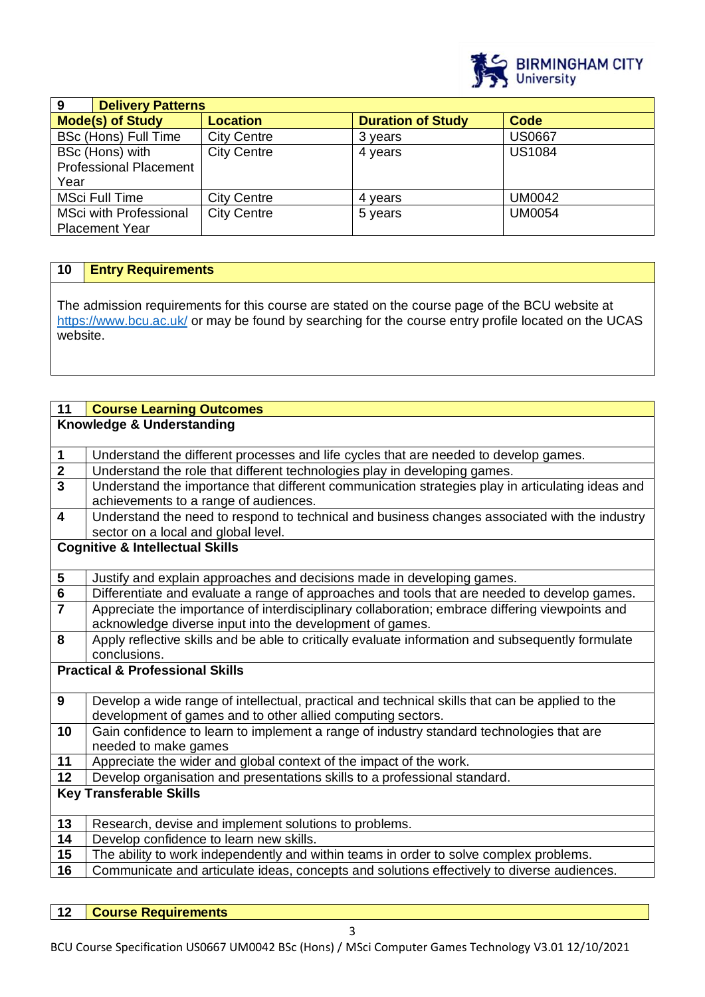

| 9                             | <b>Delivery Patterns</b> |                          |               |  |
|-------------------------------|--------------------------|--------------------------|---------------|--|
| <b>Mode(s) of Study</b>       | <b>Location</b>          | <b>Duration of Study</b> | Code          |  |
| BSc (Hons) Full Time          | <b>City Centre</b>       | 3 years                  | <b>US0667</b> |  |
| BSc (Hons) with               | <b>City Centre</b>       | 4 years                  | <b>US1084</b> |  |
| <b>Professional Placement</b> |                          |                          |               |  |
| Year                          |                          |                          |               |  |
| <b>MSci Full Time</b>         | <b>City Centre</b>       | 4 years                  | <b>UM0042</b> |  |
| <b>MSci with Professional</b> | <b>City Centre</b>       | 5 years                  | <b>UM0054</b> |  |
| <b>Placement Year</b>         |                          |                          |               |  |

## **10 Entry Requirements**

The admission requirements for this course are stated on the course page of the BCU website at <https://www.bcu.ac.uk/> or may be found by searching for the course entry profile located on the UCAS website.

| 11                      | <b>Course Learning Outcomes</b>                                                                   |
|-------------------------|---------------------------------------------------------------------------------------------------|
|                         | Knowledge & Understanding                                                                         |
|                         |                                                                                                   |
| $\mathbf 1$             | Understand the different processes and life cycles that are needed to develop games.              |
| $\frac{1}{3}$           | Understand the role that different technologies play in developing games.                         |
|                         | Understand the importance that different communication strategies play in articulating ideas and  |
|                         | achievements to a range of audiences.                                                             |
| $\overline{\mathbf{4}}$ | Understand the need to respond to technical and business changes associated with the industry     |
|                         | sector on a local and global level.                                                               |
|                         | <b>Cognitive &amp; Intellectual Skills</b>                                                        |
|                         |                                                                                                   |
| $\overline{\mathbf{5}}$ | Justify and explain approaches and decisions made in developing games.                            |
| $\overline{\mathbf{6}}$ | Differentiate and evaluate a range of approaches and tools that are needed to develop games.      |
| $\overline{7}$          | Appreciate the importance of interdisciplinary collaboration; embrace differing viewpoints and    |
|                         | acknowledge diverse input into the development of games.                                          |
| $\overline{\mathbf{8}}$ | Apply reflective skills and be able to critically evaluate information and subsequently formulate |
|                         | conclusions.                                                                                      |
|                         | <b>Practical &amp; Professional Skills</b>                                                        |
|                         |                                                                                                   |
| $\mathbf{9}$            | Develop a wide range of intellectual, practical and technical skills that can be applied to the   |
|                         | development of games and to other allied computing sectors.                                       |
| 10                      | Gain confidence to learn to implement a range of industry standard technologies that are          |
|                         | needed to make games                                                                              |
| 11                      | Appreciate the wider and global context of the impact of the work.                                |
| 12                      | Develop organisation and presentations skills to a professional standard.                         |
|                         | <b>Key Transferable Skills</b>                                                                    |
|                         |                                                                                                   |
| 13                      | Research, devise and implement solutions to problems.                                             |
| 14                      | Develop confidence to learn new skills.                                                           |
| 15                      | The ability to work independently and within teams in order to solve complex problems.            |
| 16                      | Communicate and articulate ideas, concepts and solutions effectively to diverse audiences.        |
|                         |                                                                                                   |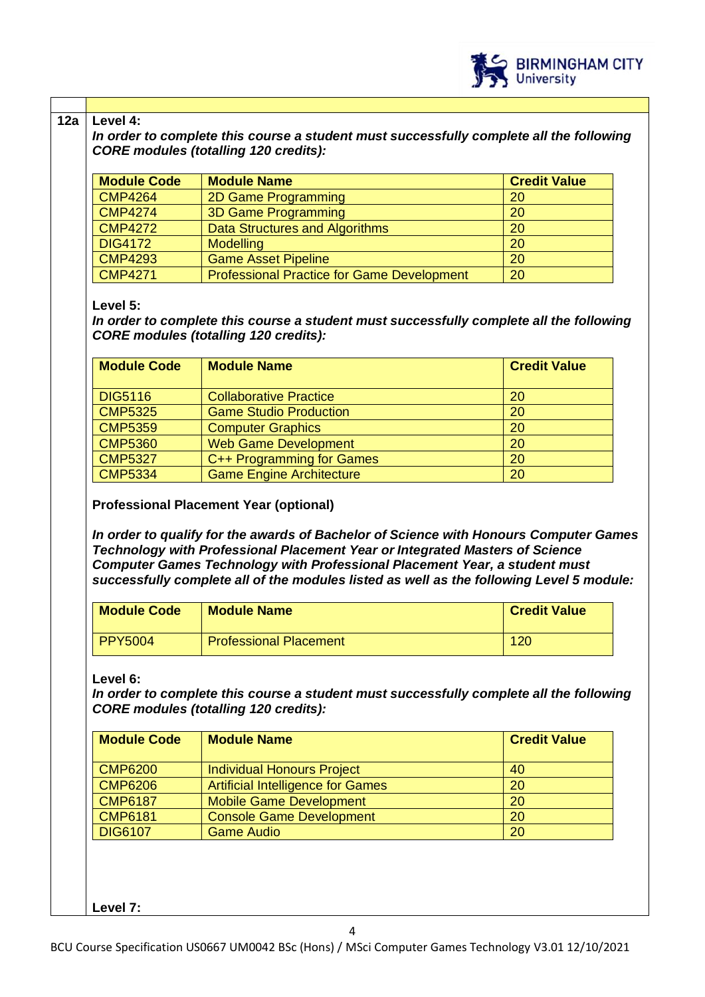

#### **12a Level 4:**

*In order to complete this course a student must successfully complete all the following CORE modules (totalling 120 credits):*

| <b>Module Code</b> | <b>Module Name</b>                                | <b>Credit Value</b> |
|--------------------|---------------------------------------------------|---------------------|
| <b>CMP4264</b>     | <b>2D Game Programming</b>                        | 20                  |
| <b>CMP4274</b>     | <b>3D Game Programming</b>                        | 20                  |
| <b>CMP4272</b>     | Data Structures and Algorithms                    | <b>20</b>           |
| <b>DIG4172</b>     | <b>Modelling</b>                                  | <b>20</b>           |
| <b>CMP4293</b>     | <b>Game Asset Pipeline</b>                        | <b>20</b>           |
| <b>CMP4271</b>     | <b>Professional Practice for Game Development</b> | 20                  |

## **Level 5:**

*In order to complete this course a student must successfully complete all the following CORE modules (totalling 120 credits):*

| <b>Module Code</b> | <b>Module Name</b>              | <b>Credit Value</b> |
|--------------------|---------------------------------|---------------------|
| <b>DIG5116</b>     | <b>Collaborative Practice</b>   | 20                  |
| <b>CMP5325</b>     | <b>Game Studio Production</b>   | 20                  |
| <b>CMP5359</b>     | <b>Computer Graphics</b>        | 20                  |
| <b>CMP5360</b>     | <b>Web Game Development</b>     | 20                  |
| <b>CMP5327</b>     | C++ Programming for Games       | 20                  |
| <b>CMP5334</b>     | <b>Game Engine Architecture</b> | 20                  |

**Professional Placement Year (optional)** 

*In order to qualify for the awards of Bachelor of Science with Honours Computer Games Technology with Professional Placement Year or Integrated Masters of Science Computer Games Technology with Professional Placement Year, a student must successfully complete all of the modules listed as well as the following Level 5 module:*

| <b>Module Code</b> | <b>Module Name</b>            | <b>Credit Value</b> |
|--------------------|-------------------------------|---------------------|
| PPY5004            | <b>Professional Placement</b> | 120                 |

**Level 6:**

*In order to complete this course a student must successfully complete all the following CORE modules (totalling 120 credits):*

| <b>Module Code</b> | <b>Module Name</b>                       | <b>Credit Value</b> |
|--------------------|------------------------------------------|---------------------|
| <b>CMP6200</b>     | <b>Individual Honours Project</b>        | 40                  |
| <b>CMP6206</b>     | <b>Artificial Intelligence for Games</b> | 20                  |
| <b>CMP6187</b>     | <b>Mobile Game Development</b>           | 20                  |
| <b>CMP6181</b>     | <b>Console Game Development</b>          | 20                  |
| <b>DIG6107</b>     | <b>Game Audio</b>                        | 20                  |

**Level 7:**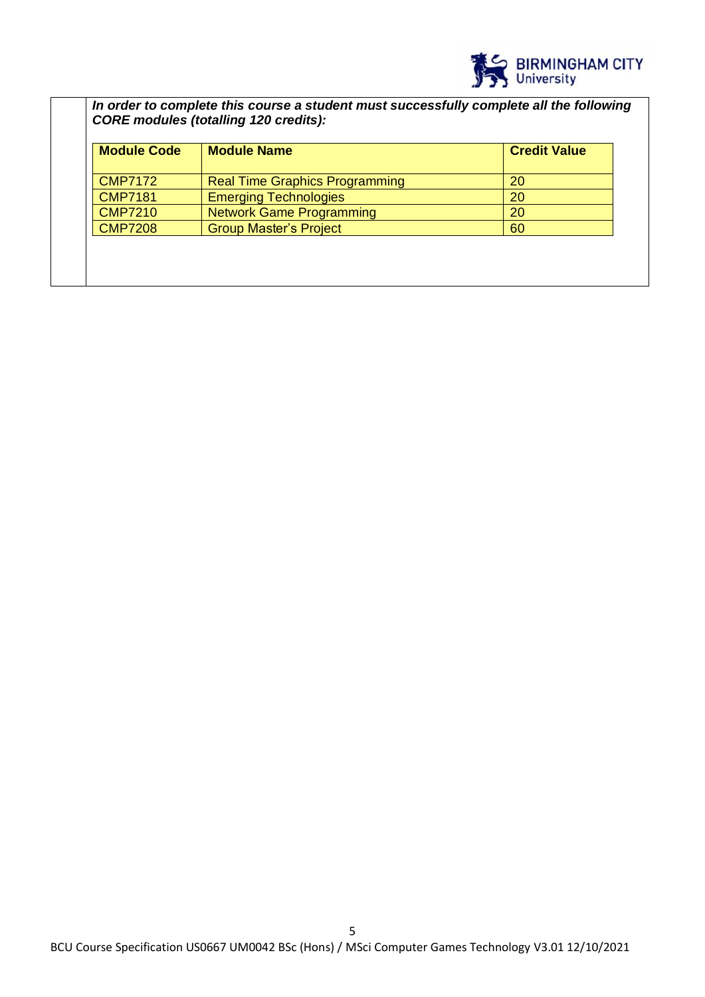

*In order to complete this course a student must successfully complete all the following CORE modules (totalling 120 credits):*

| <b>Module Code</b><br><b>Module Name</b> |                                       | <b>Credit Value</b> |
|------------------------------------------|---------------------------------------|---------------------|
| <b>CMP7172</b>                           | <b>Real Time Graphics Programming</b> | 20                  |
| <b>CMP7181</b>                           | <b>Emerging Technologies</b>          | 20                  |
| <b>CMP7210</b>                           | <b>Network Game Programming</b>       | 20                  |
| <b>CMP7208</b>                           | <b>Group Master's Project</b>         | 60                  |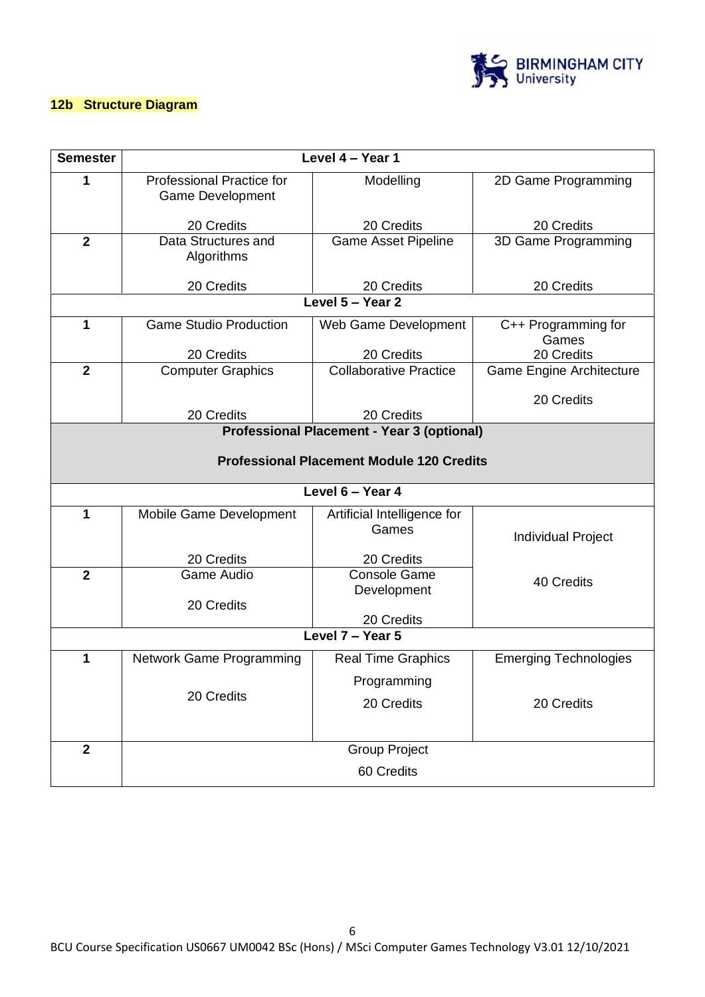

## **12b Structure Diagram**

| <b>Semester</b> | Level 4 - Year 1                                            |                                                  |                              |  |  |  |  |
|-----------------|-------------------------------------------------------------|--------------------------------------------------|------------------------------|--|--|--|--|
| 1               | <b>Professional Practice for</b><br><b>Game Development</b> | Modelling                                        | 2D Game Programming          |  |  |  |  |
|                 | 20 Credits                                                  | 20 Credits                                       | 20 Credits                   |  |  |  |  |
| $\mathbf{2}$    | Data Structures and<br>Algorithms                           | <b>Game Asset Pipeline</b>                       | 3D Game Programming          |  |  |  |  |
|                 | 20 Credits                                                  | 20 Credits                                       | 20 Credits                   |  |  |  |  |
|                 |                                                             | Level 5 - Year 2                                 |                              |  |  |  |  |
| 1               | <b>Game Studio Production</b>                               | Web Game Development                             | C++ Programming for<br>Games |  |  |  |  |
|                 | 20 Credits                                                  | 20 Credits                                       | 20 Credits                   |  |  |  |  |
| $\overline{2}$  | <b>Computer Graphics</b>                                    | <b>Collaborative Practice</b>                    | Game Engine Architecture     |  |  |  |  |
|                 |                                                             |                                                  | 20 Credits                   |  |  |  |  |
|                 | 20 Credits                                                  | 20 Credits                                       |                              |  |  |  |  |
|                 | <b>Professional Placement - Year 3 (optional)</b>           |                                                  |                              |  |  |  |  |
|                 |                                                             | <b>Professional Placement Module 120 Credits</b> |                              |  |  |  |  |
|                 |                                                             | Level 6 - Year 4                                 |                              |  |  |  |  |
| 1               | Mobile Game Development                                     | Artificial Intelligence for<br>Games             | <b>Individual Project</b>    |  |  |  |  |
|                 | 20 Credits                                                  | 20 Credits                                       |                              |  |  |  |  |
| $\overline{2}$  | <b>Game Audio</b>                                           | <b>Console Game</b><br>Development               | 40 Credits                   |  |  |  |  |
|                 | 20 Credits                                                  | 20 Credits                                       |                              |  |  |  |  |
|                 |                                                             | Level $7 -$ Year 5                               |                              |  |  |  |  |
| 1               |                                                             |                                                  |                              |  |  |  |  |
|                 | Network Game Programming                                    | <b>Real Time Graphics</b>                        | <b>Emerging Technologies</b> |  |  |  |  |
|                 | 20 Credits                                                  | Programming                                      |                              |  |  |  |  |
|                 |                                                             | 20 Credits                                       | 20 Credits                   |  |  |  |  |
|                 |                                                             |                                                  |                              |  |  |  |  |
| $\mathbf{2}$    |                                                             | <b>Group Project</b>                             |                              |  |  |  |  |
|                 | 60 Credits                                                  |                                                  |                              |  |  |  |  |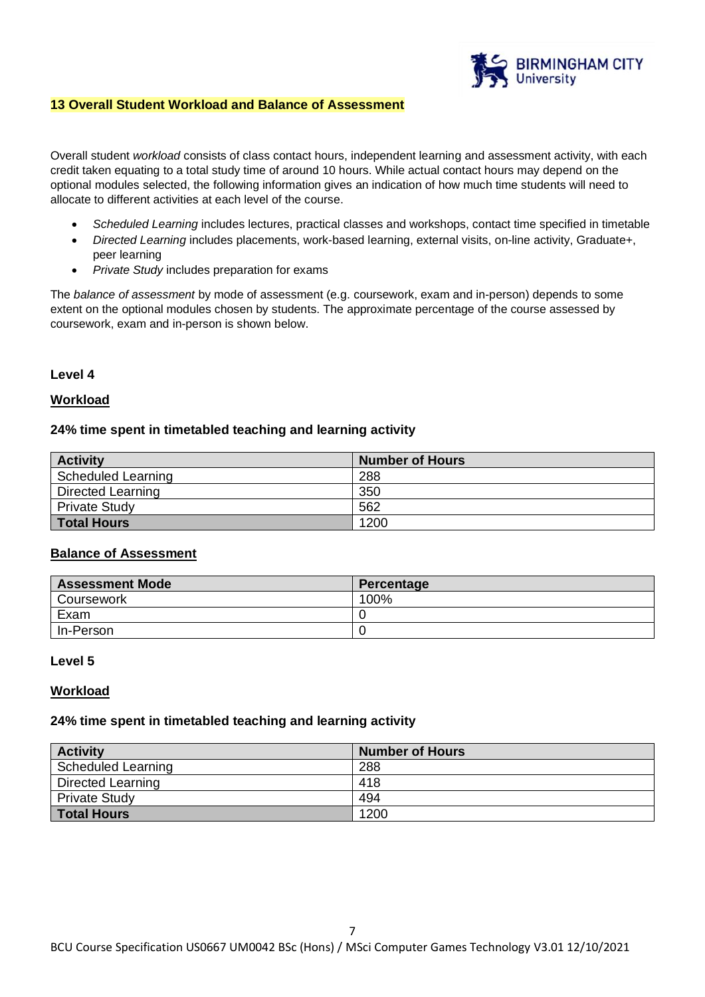

## **13 Overall Student Workload and Balance of Assessment**

Overall student *workload* consists of class contact hours, independent learning and assessment activity, with each credit taken equating to a total study time of around 10 hours. While actual contact hours may depend on the optional modules selected, the following information gives an indication of how much time students will need to allocate to different activities at each level of the course.

- *Scheduled Learning* includes lectures, practical classes and workshops, contact time specified in timetable
- *Directed Learning* includes placements, work-based learning, external visits, on-line activity, Graduate+, peer learning
- *Private Study* includes preparation for exams

The *balance of assessment* by mode of assessment (e.g. coursework, exam and in-person) depends to some extent on the optional modules chosen by students. The approximate percentage of the course assessed by coursework, exam and in-person is shown below.

## **Level 4**

#### **Workload**

#### **24% time spent in timetabled teaching and learning activity**

| <b>Activity</b>      | <b>Number of Hours</b> |
|----------------------|------------------------|
| Scheduled Learning   | 288                    |
| Directed Learning    | 350                    |
| <b>Private Study</b> | 562                    |
| <b>Total Hours</b>   | 1200                   |

#### **Balance of Assessment**

| <b>Assessment Mode</b> | Percentage |
|------------------------|------------|
| Coursework             | 100%       |
| Exam                   |            |
| In-Person              |            |

#### **Level 5**

#### **Workload**

#### **24% time spent in timetabled teaching and learning activity**

| <b>Activity</b>          | <b>Number of Hours</b> |
|--------------------------|------------------------|
| Scheduled Learning       | 288                    |
| <b>Directed Learning</b> | 418                    |
| <b>Private Study</b>     | 494                    |
| <b>Total Hours</b>       | 1200                   |